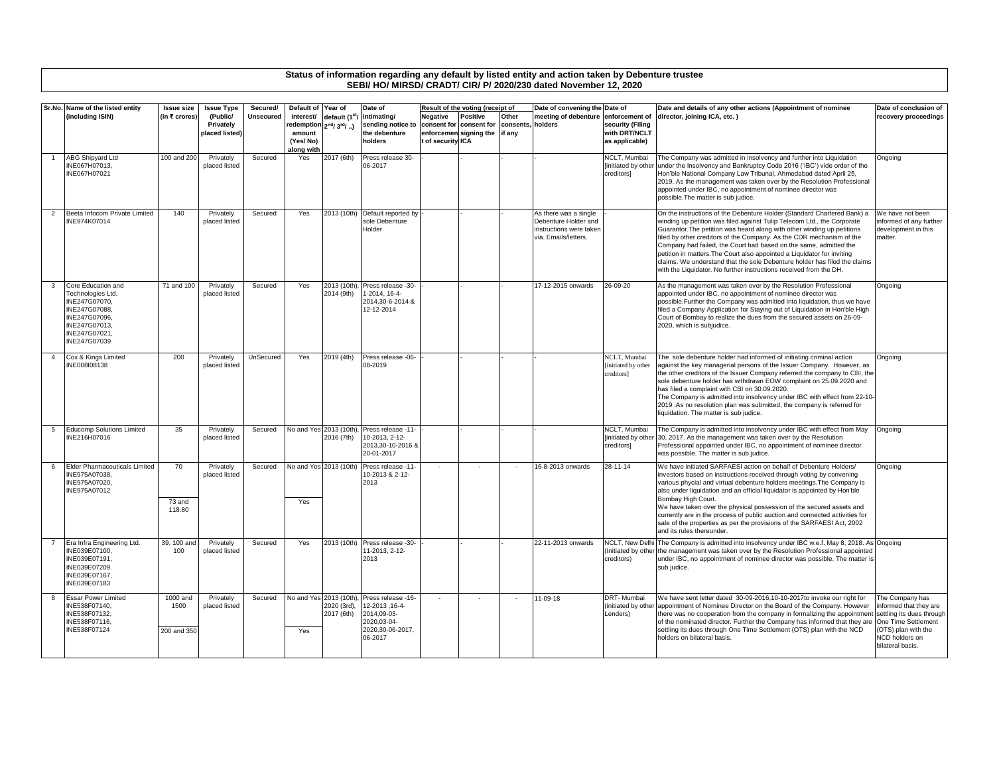## **Status of information regarding any default by listed entity and action taken by Debenture trustee SEBI/ HO/ MIRSD/ CRADT/ CIR/ P/ 2020/230 dated November 12, 2020**

|                | Sr.No. Name of the listed entity                                                                                                             | <b>Issue size</b>               | <b>Issue Type</b>                       | Secured/  | Default of Year of                                         |                                                | Date of                                                                                           |                               | Result of the voting (receipt of                                     |                             | Date of convening the Date of                                                                    |                                                                       | Date and details of any other actions (Appointment of nominee                                                                                                                                                                                                                                                                                                                                                                                                                                                                                                                                            | Date of conclusion of                                                                                                                                      |
|----------------|----------------------------------------------------------------------------------------------------------------------------------------------|---------------------------------|-----------------------------------------|-----------|------------------------------------------------------------|------------------------------------------------|---------------------------------------------------------------------------------------------------|-------------------------------|----------------------------------------------------------------------|-----------------------------|--------------------------------------------------------------------------------------------------|-----------------------------------------------------------------------|----------------------------------------------------------------------------------------------------------------------------------------------------------------------------------------------------------------------------------------------------------------------------------------------------------------------------------------------------------------------------------------------------------------------------------------------------------------------------------------------------------------------------------------------------------------------------------------------------------|------------------------------------------------------------------------------------------------------------------------------------------------------------|
|                | (including ISIN)                                                                                                                             | (in ₹ crores)                   | (Public/<br>Privately<br>placed listed) | Unsecured | interest/<br>edemption<br>amount<br>(Yes/No)<br>along with | default (1 <sup>st</sup> /<br>$2^{nd}/3^{rd}/$ | intimating/<br>sending notice to<br>the debenture<br>holders                                      | Vegative<br>t of security ICA | <b>Positive</b><br>consent for consent for<br>enforcemen signing the | Other<br>consents<br>if any | meeting of debenture<br>holders                                                                  | enforcement of<br>security (Filing<br>with DRT/NCLT<br>as applicable) | director, joining ICA, etc.)                                                                                                                                                                                                                                                                                                                                                                                                                                                                                                                                                                             | recovery proceedings                                                                                                                                       |
|                | <b>ABG Shipyard Ltd</b><br>INE067H07013,<br>INE067H07021                                                                                     | 100 and 200                     | Privately<br>placed listed              | Secured   | Yes                                                        | 2017 (6th)                                     | Press release 30-<br>06-2017                                                                      |                               |                                                                      |                             |                                                                                                  | NCLT. Mumbai<br>[initiated by other]<br>creditors]                    | The Company was admitted in insolvency and further into Liquidation<br>under the Insolvency and Bankruptcy Code 2016 ('IBC') vide order of the<br>Hon'ble National Company Law Tribunal, Ahmedabad dated April 25,<br>2019. As the management was taken over by the Resolution Professional<br>appointed under IBC, no appointment of nominee director was<br>possible. The matter is sub judice.                                                                                                                                                                                                        | Ongoing                                                                                                                                                    |
| $\overline{2}$ | Beeta Infocom Private Limited<br>INE974K07014                                                                                                | 140                             | Privately<br>placed listed              | Secured   | Yes                                                        |                                                | 2013 (10th) Default reported by<br>sole Debenture<br>Holder                                       |                               |                                                                      |                             | As there was a single<br>Debenture Holder and<br>instructions were taker<br>via. Emails/letters. |                                                                       | On the instructions of the Debenture Holder (Standard Chartered Bank) a<br>winding up petition was filed against Tulip Telecom Ltd., the Corporate<br>Guarantor. The petition was heard along with other winding up petitions<br>filed by other creditors of the Company. As the CDR mechanism of the<br>Company had failed, the Court had based on the same, admitted the<br>petition in matters. The Court also appointed a Liquidator for inviting<br>claims. We understand that the sole Debenture holder has filed the claims<br>with the Liquidator. No further instructions received from the DH. | We have not been<br>informed of any further<br>development in this<br>matter.                                                                              |
| 3              | Core Education and<br>Technologies Ltd.<br>INE247G07070,<br>INE247G07088.<br>INE247G07096,<br>INE247G07013,<br>INE247G07021.<br>INE247G07039 | 71 and 100                      | Privately<br>placed listed              | Secured   | Yes                                                        | 2013 (10th)<br>2014 (9th)                      | Press release -30-<br>1-2014, 16-4-<br>2014,30-6-2014 &<br>12-12-2014                             |                               |                                                                      |                             | 17-12-2015 onwards                                                                               | 26-09-20                                                              | As the management was taken over by the Resolution Professional<br>appointed under IBC, no appointment of nominee director was<br>possible. Further the Company was admitted into liquidation, thus we have<br>filed a Company Application for Staying out of Liquidation in Hon'ble High<br>Court of Bombay to realize the dues from the secured assets on 26-09-<br>2020, which is subjudice.                                                                                                                                                                                                          | Ongoing                                                                                                                                                    |
|                | Cox & Kings Limited<br>INE008I08138                                                                                                          | 200                             | Privately<br>placed listed              | UnSecured | Yes                                                        | 2019 (4th)                                     | Press release -06-<br>08-2019                                                                     |                               |                                                                      |                             |                                                                                                  | NCLT. Mumbai<br>[initiated by other<br>creditors]                     | The sole debenture holder had informed of initiating criminal action<br>against the key managerial persons of the Issuer Company. However, as<br>the other creditors of the Issuer Company referred the company to CBI, the<br>sole debenture holder has withdrawn EOW complaint on 25.09.2020 and<br>has filed a complaint with CBI on 30.09.2020.<br>The Company is admitted into insolvency under IBC with effect from 22-10-<br>2019 .As no resolution plan was submitted, the company is referred for<br>liquidation. The matter is sub judice.                                                     | Onaoina                                                                                                                                                    |
|                | <b>Educomp Solutions Limited</b><br>INE216H07016                                                                                             | 35                              | Privately<br>placed listed              | Secured   | No and Yes 2013 (10th)                                     | 2016 (7th)                                     | Press release -11-<br>10-2013, 2-12-<br>2013,30-10-2016 8<br>20-01-2017                           |                               |                                                                      |                             |                                                                                                  | NCLT, Mumbai<br>creditors]                                            | The Company is admitted into insolvency under IBC with effect from May<br>[initiated by other 30, 2017. As the management was taken over by the Resolution<br>Professional appointed under IBC, no appointment of nominee director<br>was possible. The matter is sub judice.                                                                                                                                                                                                                                                                                                                            | Ongoing                                                                                                                                                    |
| 6              | <b>Elder Pharmaceuticals Limited</b><br>INE975A07038,<br>INE975A07020.<br>INE975A07012                                                       | 70<br>73 and<br>118.80          | Privately<br>placed listed              | Secured   | No and Yes 2013 (10th)<br>Yes                              |                                                | Press release -11-<br>10-2013 & 2-12-<br>2013                                                     |                               | $\sim$                                                               | $\sim$                      | 16-8-2013 onwards                                                                                | 28-11-14                                                              | We have initiated SARFAESI action on behalf of Debenture Holders/<br>investors based on instructions received through voting by convening<br>various phycial and virtual debenture holders meetings. The Company is<br>also under liquidation and an official liquidator is appointed by Hon'ble<br>Bombay High Court.<br>We have taken over the physical possession of the secured assets and<br>currently are in the process of public auction and connected activities for<br>sale of the properties as per the provisions of the SARFAESI Act, 2002<br>and its rules thereunder.                     | Ongoing                                                                                                                                                    |
|                | Era Infra Engineering Ltd.<br>INE039E07100.<br>INE039E07191,<br>INE039E07209.<br>INE039E07167.<br>INE039E07183                               | 39, 100 and<br>100              | Privately<br>placed listed              | Secured   | Yes                                                        | 2013 (10th)                                    | Press release -30-<br>11-2013, 2-12-<br>2013                                                      |                               |                                                                      |                             | 22-11-2013 onwards                                                                               | creditors)                                                            | NCLT, New Delhi The Company is admitted into insolvency under IBC w.e.f. May 8, 2018. As Ongoing<br>(Initiated by other the management was taken over by the Resolution Professional appointed<br>under IBC, no appointment of nominee director was possible. The matter is<br>sub judice.                                                                                                                                                                                                                                                                                                               |                                                                                                                                                            |
| 8              | <b>Essar Power Limited</b><br>INE538F07140,<br>INE538F07132.<br>INE538F07116.<br>INE538F07124                                                | 1000 and<br>1500<br>200 and 350 | Privately<br>placed listed              | Secured   | No and Yes 2013 (10th),<br>Yes                             | 2020 (3rd),<br>2017 (6th)                      | Press release -16-<br>12-2013, 16-4-<br>2014.09-03-<br>2020.03-04-<br>2020,30-06-2017,<br>06-2017 |                               |                                                                      | $\overline{\phantom{a}}$    | 11-09-18                                                                                         | DRT-Mumbai<br>(initiated by other<br>Lenders)                         | We have sent letter dated 30-09-2016.10-10-2017to invoke our right for<br>appointment of Nominee Director on the Board of the Company. However<br>there was no cooperation from the company in formalizing the appointment<br>of the nominated director. Further the Company has informed that they are<br>settling its dues through One Time Settlement (OTS) plan with the NCD<br>holders on bilateral basis.                                                                                                                                                                                          | The Company has<br>informed that they are<br>settling its dues through<br>One Time Settlement<br>(OTS) plan with the<br>NCD holders on<br>bilateral basis. |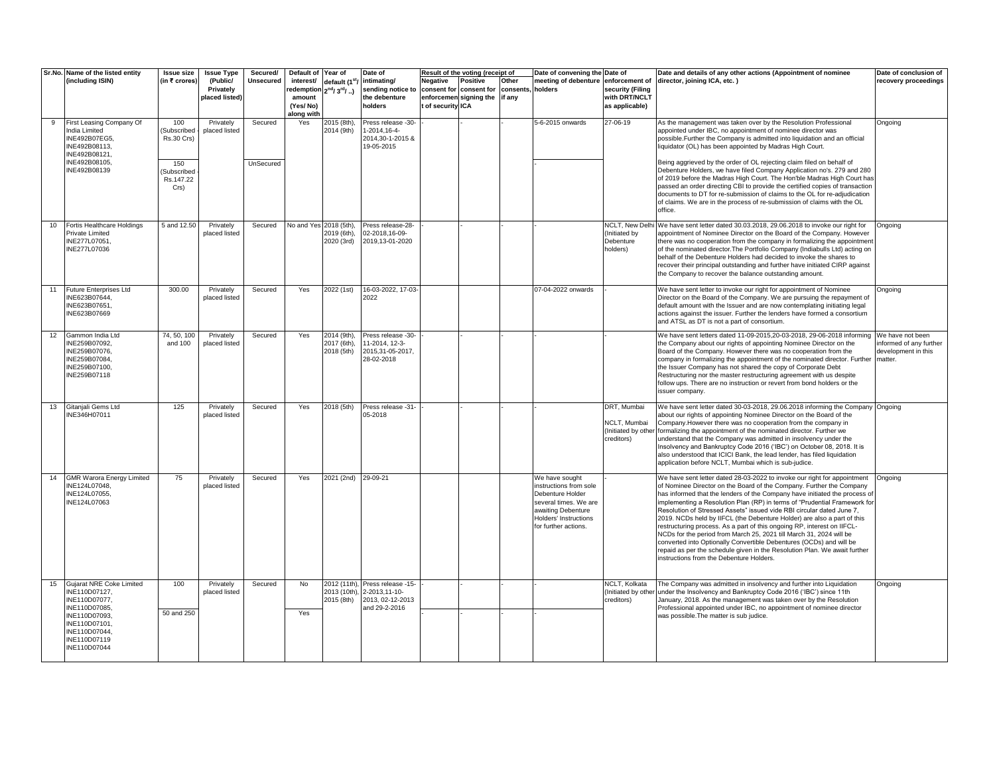|    | Sr.No. Name of the listed entity                                                                              | <b>Issue size</b>                              | <b>Issue Type</b>                       | Secured/             | Default of Year of                           |                                                  | Date of                                                                |                                            | Result of the voting (receipt of                         |                              | Date of convening the Date of                                                                                                                                       |                                                                       | Date and details of any other actions (Appointment of nominee                                                                                                                                                                                                                                                                                                                                                                                                                                                                                                                                                                                                                                                                                                                                                     | Date of conclusion of                                     |
|----|---------------------------------------------------------------------------------------------------------------|------------------------------------------------|-----------------------------------------|----------------------|----------------------------------------------|--------------------------------------------------|------------------------------------------------------------------------|--------------------------------------------|----------------------------------------------------------|------------------------------|---------------------------------------------------------------------------------------------------------------------------------------------------------------------|-----------------------------------------------------------------------|-------------------------------------------------------------------------------------------------------------------------------------------------------------------------------------------------------------------------------------------------------------------------------------------------------------------------------------------------------------------------------------------------------------------------------------------------------------------------------------------------------------------------------------------------------------------------------------------------------------------------------------------------------------------------------------------------------------------------------------------------------------------------------------------------------------------|-----------------------------------------------------------|
|    | (including ISIN)                                                                                              | (in ₹ crores)                                  | (Public/<br>Privately<br>placed listed) | Unsecured            | interest/<br>edemption<br>amount<br>(Yes/No) | default (1 <sup>st</sup> /<br>$2^{nd}/3^{rd}/$ ) | intimating/<br>sending notice to<br>the debenture<br>holders           | Negative<br>consent for<br>of security ICA | <b>Positive</b><br>consent for<br>enforcemen signing the | Other<br>consents.<br>if any | meeting of debenture<br>holders                                                                                                                                     | enforcement of<br>security (Filing<br>with DRT/NCLT<br>as applicable) | director, joining ICA, etc.)                                                                                                                                                                                                                                                                                                                                                                                                                                                                                                                                                                                                                                                                                                                                                                                      | recovery proceedings                                      |
|    |                                                                                                               |                                                |                                         |                      | along with                                   |                                                  |                                                                        |                                            |                                                          |                              |                                                                                                                                                                     |                                                                       |                                                                                                                                                                                                                                                                                                                                                                                                                                                                                                                                                                                                                                                                                                                                                                                                                   |                                                           |
| 9  | First Leasing Company Of<br>India Limited<br>INE492B07EG5,<br>INE492B08113,<br>INE492B08121,<br>INE492B08105, | 100<br>(Subscribed<br><b>Rs.30 Crs)</b><br>150 | Privately<br>placed listed              | Secured<br>UnSecured | Yes                                          | 2015 (8th).<br>2014 (9th)                        | Press release -30-<br>1-2014, 16-4-<br>2014,30-1-2015 &<br>19-05-2015  |                                            |                                                          |                              | 5-6-2015 onwards                                                                                                                                                    | 27-06-19                                                              | As the management was taken over by the Resolution Professional<br>appointed under IBC, no appointment of nominee director was<br>possible. Further the Company is admitted into liquidation and an official<br>liquidator (OL) has been appointed by Madras High Court.<br>Being aggrieved by the order of OL rejecting claim filed on behalf of                                                                                                                                                                                                                                                                                                                                                                                                                                                                 | Ongoing                                                   |
|    | INE492B08139                                                                                                  | (Subscribed<br>Rs.147.22<br>Crs)               |                                         |                      |                                              |                                                  |                                                                        |                                            |                                                          |                              |                                                                                                                                                                     |                                                                       | Debenture Holders, we have filed Company Application no's. 279 and 280<br>of 2019 before the Madras High Court. The Hon'ble Madras High Court has<br>passed an order directing CBI to provide the certified copies of transaction<br>documents to DT for re-submission of claims to the OL for re-adjudication<br>of claims. We are in the process of re-submission of claims with the OL<br>office.                                                                                                                                                                                                                                                                                                                                                                                                              |                                                           |
| 10 | Fortis Healthcare Holdings<br>Private Limited<br>INE277L07051.<br>INE277L07036                                | 5 and 12.50                                    | Privately<br>placed listed              | Secured              | No and Yes 2018 (5th),                       | 2019 (6th).<br>2020 (3rd)                        | Press release-28-<br>02-2018,16-09-<br>2019,13-01-2020                 |                                            |                                                          |                              |                                                                                                                                                                     | NCLT, New Delh<br>(Initiated by<br>Debenture<br>holders)              | We have sent letter dated 30.03.2018, 29.06.2018 to invoke our right for<br>appointment of Nominee Director on the Board of the Company. However<br>there was no cooperation from the company in formalizing the appointment<br>of the nominated director. The Portfolio Company (Indiabulls Ltd) acting on<br>behalf of the Debenture Holders had decided to invoke the shares to<br>recover their principal outstanding and further have initiated CIRP against<br>the Company to recover the balance outstanding amount.                                                                                                                                                                                                                                                                                       | Ongoing                                                   |
| 11 | <b>Future Enterprises Ltd</b><br>INE623B07644,<br>INE623B07651,<br>INE623B07669                               | 300.00                                         | Privately<br>placed listed              | Secured              | Yes                                          | 2022 (1st)                                       | 16-03-2022, 17-03-<br>2022                                             |                                            |                                                          |                              | 07-04-2022 onwards                                                                                                                                                  |                                                                       | We have sent letter to invoke our right for appointment of Nominee<br>Director on the Board of the Company. We are pursuing the repayment of<br>default amount with the Issuer and are now contemplating initiating legal<br>actions against the issuer. Further the lenders have formed a consortium<br>and ATSL as DT is not a part of consortium.                                                                                                                                                                                                                                                                                                                                                                                                                                                              | <b>Ongoing</b>                                            |
| 12 | Gammon India Ltd<br>INE259B07092,<br>INE259B07076,<br>INE259B07084,<br>INE259B07100,<br>INE259B07118          | 74, 50, 100<br>and 100                         | Privately<br>placed listed              | Secured              | Yes                                          | 2014 (9th),<br>2017 (6th).<br>2018 (5th)         | Press release -30-<br>11-2014, 12-3-<br>2015,31-05-2017,<br>28-02-2018 |                                            |                                                          |                              |                                                                                                                                                                     |                                                                       | We have sent letters dated 11-09-2015, 20-03-2018, 29-06-2018 informing We have not been<br>the Company about our rights of appointing Nominee Director on the<br>Board of the Company. However there was no cooperation from the<br>company in formalizing the appointment of the nominated director. Further<br>the Issuer Company has not shared the copy of Corporate Debt<br>Restructuring nor the master restructuring agreement with us despite<br>follow ups. There are no instruction or revert from bond holders or the<br>issuer company.                                                                                                                                                                                                                                                              | informed of any further<br>development in this<br>matter. |
|    | 13 Gitanjali Gems Ltd<br>INE346H07011                                                                         | 125                                            | Privately<br>placed listed              | Secured              | Yes                                          | 2018 (5th)                                       | Press release -31-<br>05-2018                                          |                                            |                                                          |                              |                                                                                                                                                                     | DRT, Mumbai<br>NCLT, Mumbai<br>(Initiated by othe<br>creditors)       | We have sent letter dated 30-03-2018, 29.06.2018 informing the Company Ongoing<br>about our rights of appointing Nominee Director on the Board of the<br>Company. However there was no cooperation from the company in<br>formalizing the appointment of the nominated director. Further we<br>understand that the Company was admitted in insolvency under the<br>Insolvency and Bankruptcy Code 2016 ('IBC') on October 08, 2018. It is<br>also understood that ICICI Bank, the lead lender, has filed liquidation<br>application before NCLT, Mumbai which is sub-judice.                                                                                                                                                                                                                                      |                                                           |
|    | 14 GMR Warora Energy Limited<br>INE124L07048,<br>INE124L07055.<br>INE124L07063                                | 75                                             | Privately<br>placed listed              | Secured              | Yes                                          | 2021 (2nd) 29-09-21                              |                                                                        |                                            |                                                          |                              | We have sought<br>instructions from sole<br>Debenture Holder<br>several times. We are<br>awaiting Debenture<br><b>Holders' Instructions</b><br>for further actions. |                                                                       | We have sent letter dated 28-03-2022 to invoke our right for appointment<br>of Nominee Director on the Board of the Company. Further the Company<br>has informed that the lenders of the Company have initiated the process of<br>implementing a Resolution Plan (RP) in terms of "Prudential Framework for<br>Resolution of Stressed Assets" issued vide RBI circular dated June 7,<br>2019. NCDs held by IIFCL (the Debenture Holder) are also a part of this<br>restructuring process. As a part of this ongoing RP, interest on IIFCL-<br>NCDs for the period from March 25, 2021 till March 31, 2024 will be<br>converted into Optionally Convertible Debentures (OCDs) and will be<br>repaid as per the schedule given in the Resolution Plan. We await further<br>instructions from the Debenture Holders. | Ongoing                                                   |
|    | 15 Gujarat NRE Coke Limited<br>INE110D07127,<br>INE110D07077,                                                 | 100                                            | Privately<br>placed listed              | Secured              | No                                           | 2012 (11th),<br>2013 (10th),<br>2015 (8th)       | Press release -15-<br>2-2013,11-10-<br>2013, 02-12-2013                |                                            |                                                          |                              |                                                                                                                                                                     | NCLT, Kolkata<br>(Initiated by othe<br>creditors)                     | The Company was admitted in insolvency and further into Liquidation<br>under the Insolvency and Bankruptcy Code 2016 ('IBC') since 11th<br>January, 2018. As the management was taken over by the Resolution                                                                                                                                                                                                                                                                                                                                                                                                                                                                                                                                                                                                      | Ongoing                                                   |
|    | INE110D07085,<br>INE110D07093,<br>INE110D07101,<br>INE110D07044.<br>INE110D07119<br>INE110D07044              | 50 and 250                                     |                                         |                      | Yes                                          |                                                  | and 29-2-2016                                                          |                                            |                                                          |                              |                                                                                                                                                                     |                                                                       | Professional appointed under IBC, no appointment of nominee director<br>was possible. The matter is sub judice.                                                                                                                                                                                                                                                                                                                                                                                                                                                                                                                                                                                                                                                                                                   |                                                           |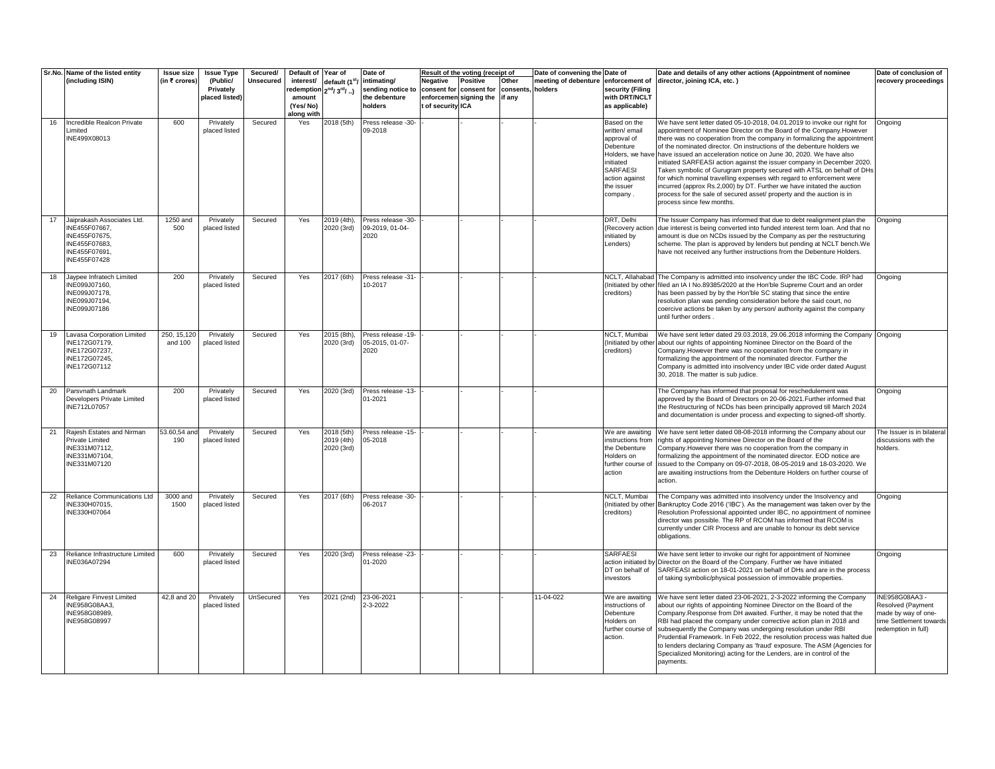|    | Sr.No. Name of the listed entity                | <b>Issue size</b> | <b>Issue Type</b>           | Secured/         | Default of          | Year of                   | Date of                               |                   | Result of the voting (receipt of                                    |        | Date of convening the | Date of                               | Date and details of any other actions (Appointment of nominee                                                                                        | Date of conclusion of                    |
|----|-------------------------------------------------|-------------------|-----------------------------|------------------|---------------------|---------------------------|---------------------------------------|-------------------|---------------------------------------------------------------------|--------|-----------------------|---------------------------------------|------------------------------------------------------------------------------------------------------------------------------------------------------|------------------------------------------|
|    | (including ISIN)                                | (in ₹ crores)     | (Public/                    | <b>Unsecured</b> | interest/           | default (1 <sup>st</sup>  | intimating/                           | <b>Negative</b>   | <b>Positive</b>                                                     | Other  | meeting of debenture  | enforcement of                        | director, joining ICA, etc.)                                                                                                                         | recovery proceedings                     |
|    |                                                 |                   | Privately<br>placed listed) |                  | edemption<br>amount | $2^{nd}/3^{rd}/$ )        | sending notice to<br>the debenture    |                   | consent for consent for consents, holders<br>enforcemen signing the | if any |                       | security (Filing<br>with DRT/NCLT     |                                                                                                                                                      |                                          |
|    |                                                 |                   |                             |                  | (Yes/No)            |                           | holders                               | t of security ICA |                                                                     |        |                       | as applicable)                        |                                                                                                                                                      |                                          |
|    |                                                 |                   |                             |                  | along with          |                           |                                       |                   |                                                                     |        |                       |                                       |                                                                                                                                                      |                                          |
| 16 | Incredible Realcon Private                      | 600               | Privately                   | Secured          | Yes                 | 2018 (5th)                | Press release -30-                    |                   |                                                                     |        |                       | Based on the                          | We have sent letter dated 05-10-2018, 04.01.2019 to invoke our right for                                                                             | Ongoing                                  |
|    | Limited<br>INE499X08013                         |                   | placed listed               |                  |                     |                           | 09-2018                               |                   |                                                                     |        |                       | written/ email<br>approval of         | appointment of Nominee Director on the Board of the Company.However<br>there was no cooperation from the company in formalizing the appointment      |                                          |
|    |                                                 |                   |                             |                  |                     |                           |                                       |                   |                                                                     |        |                       | Debenture                             | of the nominated director. On instructions of the debenture holders we                                                                               |                                          |
|    |                                                 |                   |                             |                  |                     |                           |                                       |                   |                                                                     |        |                       | Holders, we have                      | have issued an acceleration notice on June 30, 2020. We have also                                                                                    |                                          |
|    |                                                 |                   |                             |                  |                     |                           |                                       |                   |                                                                     |        |                       | initiated                             | initiated SARFEASI action against the issuer company in December 2020.                                                                               |                                          |
|    |                                                 |                   |                             |                  |                     |                           |                                       |                   |                                                                     |        |                       | SARFAESI<br>action against            | Taken symbolic of Gurugram property secured with ATSL on behalf of DHs<br>for which nominal travelling expenses with regard to enforcement were      |                                          |
|    |                                                 |                   |                             |                  |                     |                           |                                       |                   |                                                                     |        |                       | the issuer                            | incurred (approx Rs.2,000) by DT. Further we have initated the auction                                                                               |                                          |
|    |                                                 |                   |                             |                  |                     |                           |                                       |                   |                                                                     |        |                       | ompany.                               | process for the sale of secured asset/ property and the auction is in                                                                                |                                          |
|    |                                                 |                   |                             |                  |                     |                           |                                       |                   |                                                                     |        |                       |                                       | process since few months.                                                                                                                            |                                          |
|    |                                                 |                   |                             |                  |                     |                           |                                       |                   |                                                                     |        |                       |                                       |                                                                                                                                                      |                                          |
| 17 | Jaiprakash Associates Ltd.<br>INE455F07667,     | 1250 and<br>500   | Privately<br>placed listed  | Secured          | Yes                 | 2019 (4th),<br>2020 (3rd) | Press release -30-<br>09-2019, 01-04- |                   |                                                                     |        |                       | DRT, Delhi<br>Recovery action         | The Issuer Company has informed that due to debt realignment plan the<br>due interest is being converted into funded interest term loan. And that no | Ongoing                                  |
|    | INE455F07675.                                   |                   |                             |                  |                     |                           | 2020                                  |                   |                                                                     |        |                       | initiated by                          | amount is due on NCDs issued by the Company as per the restructuring                                                                                 |                                          |
|    | INE455F07683.                                   |                   |                             |                  |                     |                           |                                       |                   |                                                                     |        |                       | enders)                               | scheme. The plan is approved by lenders but pending at NCLT bench. We                                                                                |                                          |
|    | INE455F07691,                                   |                   |                             |                  |                     |                           |                                       |                   |                                                                     |        |                       |                                       | have not received any further instructions from the Debenture Holders.                                                                               |                                          |
|    | INE455F07428                                    |                   |                             |                  |                     |                           |                                       |                   |                                                                     |        |                       |                                       |                                                                                                                                                      |                                          |
| 18 | Jaypee Infratech Limited                        | 200               | Privately                   | Secured          | Yes                 | 2017 (6th)                | Press release -31-                    |                   |                                                                     |        |                       |                                       | NCLT, Allahabad The Company is admitted into insolvency under the IBC Code. IRP had                                                                  | Ongoing                                  |
|    | INE099J07160.                                   |                   | placed listed               |                  |                     |                           | 10-2017                               |                   |                                                                     |        |                       | Initiated by other                    | filed an IA I No.89385/2020 at the Hon'ble Supreme Court and an order                                                                                |                                          |
|    | INE099J07178.                                   |                   |                             |                  |                     |                           |                                       |                   |                                                                     |        |                       | creditors)                            | has been passed by by the Hon'ble SC stating that since the entire                                                                                   |                                          |
|    | INE099J07194,<br>INE099J07186                   |                   |                             |                  |                     |                           |                                       |                   |                                                                     |        |                       |                                       | resolution plan was pending consideration before the said court, no<br>coercive actions be taken by any person/ authority against the company        |                                          |
|    |                                                 |                   |                             |                  |                     |                           |                                       |                   |                                                                     |        |                       |                                       | until further orders.                                                                                                                                |                                          |
|    |                                                 |                   |                             |                  |                     |                           |                                       |                   |                                                                     |        |                       |                                       |                                                                                                                                                      |                                          |
| 19 | Lavasa Corporation Limited                      | 250, 15, 120      | Privately                   | Secured          | Yes                 | 2015 (8th).               | Press release -19-                    |                   |                                                                     |        |                       | NCLT. Mumbai                          | We have sent letter dated 29.03.2018, 29.06.2018 informing the Company Ongoing                                                                       |                                          |
|    | INE172G07179,<br>INE172G07237,                  | and 100           | placed listed               |                  |                     | 2020 (3rd)                | 05-2015, 01-07-<br>2020               |                   |                                                                     |        |                       | Initiated by othe<br>creditors)       | about our rights of appointing Nominee Director on the Board of the<br>Company. However there was no cooperation from the company in                 |                                          |
|    | INE172G07245,                                   |                   |                             |                  |                     |                           |                                       |                   |                                                                     |        |                       |                                       | formalizing the appointment of the nominated director. Further the                                                                                   |                                          |
|    | INE172G07112                                    |                   |                             |                  |                     |                           |                                       |                   |                                                                     |        |                       |                                       | Company is admitted into insolvency under IBC vide order dated August                                                                                |                                          |
|    |                                                 |                   |                             |                  |                     |                           |                                       |                   |                                                                     |        |                       |                                       | 30, 2018. The matter is sub judice.                                                                                                                  |                                          |
| 20 | Parsvnath Landmark                              | 200               | Privately                   | Secured          | Yes                 | 2020 (3rd)                | Press release -13-                    |                   |                                                                     |        |                       |                                       | The Company has informed that proposal for reschedulement was                                                                                        | Ongoing                                  |
|    | Developers Private Limited                      |                   | placed listed               |                  |                     |                           | 01-2021                               |                   |                                                                     |        |                       |                                       | approved by the Board of Directors on 20-06-2021. Further informed that                                                                              |                                          |
|    | INE712L07057                                    |                   |                             |                  |                     |                           |                                       |                   |                                                                     |        |                       |                                       | the Restructuring of NCDs has been principally approved till March 2024                                                                              |                                          |
|    |                                                 |                   |                             |                  |                     |                           |                                       |                   |                                                                     |        |                       |                                       | and documentation is under process and expecting to signed-off shortly.                                                                              |                                          |
| 21 | Raiesh Estates and Nirman                       | 53.60.54 and      | Privately                   | Secured          | Yes                 | 2018 (5th)                | Press release -15-                    |                   |                                                                     |        |                       | We are awaiting                       | We have sent letter dated 08-08-2018 informing the Company about our                                                                                 | The Issuer is in bilatera                |
|    | Private Limited                                 | 190               | placed listed               |                  |                     | 2019 (4th)                | 05-2018                               |                   |                                                                     |        |                       | nstructions from                      | rights of appointing Nominee Director on the Board of the                                                                                            | discussions with the                     |
|    | INE331M07112,<br>INE331M07104,                  |                   |                             |                  |                     | 2020 (3rd)                |                                       |                   |                                                                     |        |                       | he Debenture<br>Holders on            | Company. However there was no cooperation from the company in<br>formalizing the appointment of the nominated director. EOD notice are               | holders.                                 |
|    | INE331M07120                                    |                   |                             |                  |                     |                           |                                       |                   |                                                                     |        |                       | urther course of                      | issued to the Company on 09-07-2018, 08-05-2019 and 18-03-2020. We                                                                                   |                                          |
|    |                                                 |                   |                             |                  |                     |                           |                                       |                   |                                                                     |        |                       | action                                | are awaiting instructions from the Debenture Holders on further course of                                                                            |                                          |
|    |                                                 |                   |                             |                  |                     |                           |                                       |                   |                                                                     |        |                       |                                       | action.                                                                                                                                              |                                          |
| 22 | Reliance Communications Ltd                     | 3000 and          | Privately                   | Secured          | Yes                 | 2017 (6th)                | Press release -30-                    |                   |                                                                     |        |                       | NCLT, Mumbai                          | The Company was admitted into insolvency under the Insolvency and                                                                                    | Ongoing                                  |
|    | INE330H07015,                                   | 1500              | placed listed               |                  |                     |                           | 06-2017                               |                   |                                                                     |        |                       | Initiated by othe                     | Bankruptcy Code 2016 ('IBC'). As the management was taken over by the                                                                                |                                          |
|    | INE330H07064                                    |                   |                             |                  |                     |                           |                                       |                   |                                                                     |        |                       | creditors)                            | Resolution Professional appointed under IBC, no appointment of nominee                                                                               |                                          |
|    |                                                 |                   |                             |                  |                     |                           |                                       |                   |                                                                     |        |                       |                                       | director was possible. The RP of RCOM has informed that RCOM is<br>currently under CIR Process and are unable to honour its debt service             |                                          |
|    |                                                 |                   |                             |                  |                     |                           |                                       |                   |                                                                     |        |                       |                                       | obligations.                                                                                                                                         |                                          |
|    |                                                 |                   |                             |                  |                     |                           |                                       |                   |                                                                     |        |                       |                                       |                                                                                                                                                      |                                          |
| 23 | Reliance Infrastructure Limited<br>INE036A07294 | 600               | Privately<br>placed listed  | Secured          | Yes                 | 2020 (3rd)                | Press release -23-<br>01-2020         |                   |                                                                     |        |                       | <b>SARFAESI</b><br>action initiated b | We have sent letter to invoke our right for appointment of Nominee<br>Director on the Board of the Company. Further we have initiated                | Ongoing                                  |
|    |                                                 |                   |                             |                  |                     |                           |                                       |                   |                                                                     |        |                       | DT on behalf of                       | SARFEASI action on 18-01-2021 on behalf of DHs and are in the process                                                                                |                                          |
|    |                                                 |                   |                             |                  |                     |                           |                                       |                   |                                                                     |        |                       | investors                             | of taking symbolic/physical possession of immovable properties.                                                                                      |                                          |
|    |                                                 |                   |                             |                  |                     |                           |                                       |                   |                                                                     |        |                       |                                       |                                                                                                                                                      |                                          |
| 24 | Religare Finvest Limited                        | 42,8 and 20       | Privately                   | UnSecured        | Yes                 | 2021 (2nd)                | 23-06-2021                            |                   |                                                                     |        | 11-04-022             | We are awaiting                       | We have sent letter dated 23-06-2021, 2-3-2022 informing the Company                                                                                 | INE958G08AA3 -                           |
|    | INE958G08AA3,<br>INE958G08989.                  |                   | placed listed               |                  |                     |                           | 2-3-2022                              |                   |                                                                     |        |                       | instructions of<br>Debenture          | about our rights of appointing Nominee Director on the Board of the<br>Company.Response from DH awaited. Further, it may be noted that the           | Resolved (Payment<br>made by way of one- |
|    | INE958G08997                                    |                   |                             |                  |                     |                           |                                       |                   |                                                                     |        |                       | Holders on                            | RBI had placed the company under corrective action plan in 2018 and                                                                                  | time Settlement towards                  |
|    |                                                 |                   |                             |                  |                     |                           |                                       |                   |                                                                     |        |                       | urther course of                      | subsequently the Company was undergoing resolution under RBI                                                                                         | redemption in full)                      |
|    |                                                 |                   |                             |                  |                     |                           |                                       |                   |                                                                     |        |                       | action                                | Prudential Framework. In Feb 2022, the resolution process was halted due                                                                             |                                          |
|    |                                                 |                   |                             |                  |                     |                           |                                       |                   |                                                                     |        |                       |                                       | to lenders declaring Company as 'fraud' exposure. The ASM (Agencies for<br>Specialized Monitoring) acting for the Lenders, are in control of the     |                                          |
|    |                                                 |                   |                             |                  |                     |                           |                                       |                   |                                                                     |        |                       |                                       | payments.                                                                                                                                            |                                          |
|    |                                                 |                   |                             |                  |                     |                           |                                       |                   |                                                                     |        |                       |                                       |                                                                                                                                                      |                                          |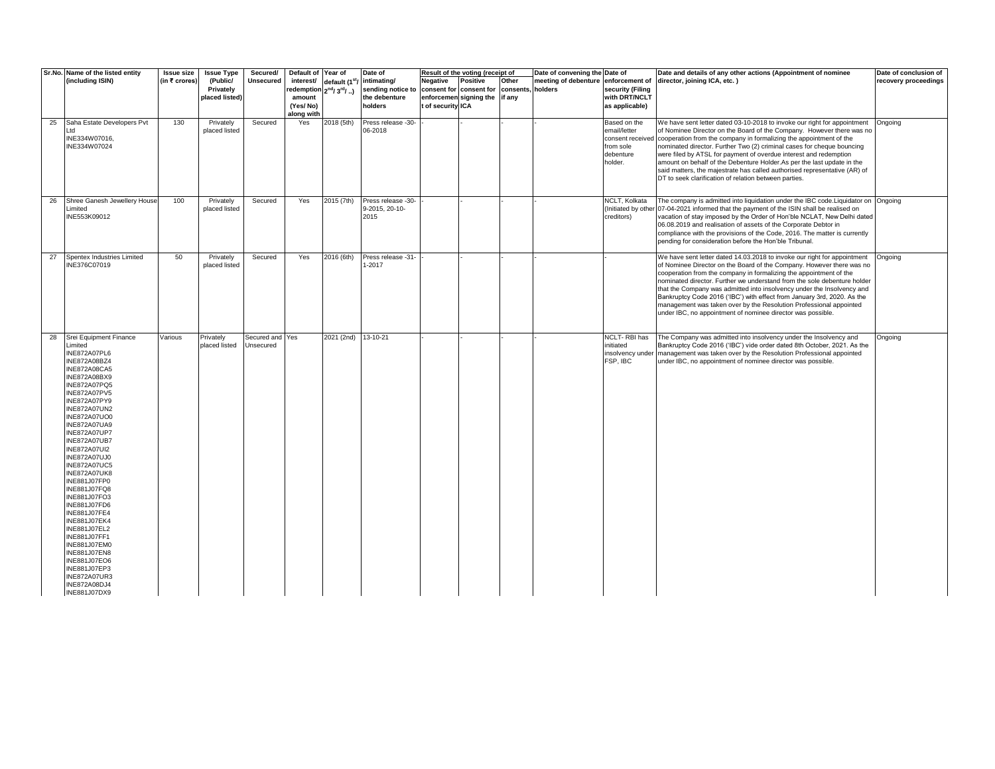|    | Sr.No. Name of the listed entity                                                                                                                                                                                                                                                                                                                                                                                                                                                                                                                                                                                                             | <b>Issue size</b> | <b>Issue Type</b>                       | Secured/                     | Default of Year of                                                    |                            | Date of                                                      |                               | Result of the voting (receipt of                                                       |       | Date of convening the Date of |                                                                       | Date and details of any other actions (Appointment of nominee                                                                                                                                                                                                                                                                                                                                                                                                                                                                                                                                           | Date of conclusion of |
|----|----------------------------------------------------------------------------------------------------------------------------------------------------------------------------------------------------------------------------------------------------------------------------------------------------------------------------------------------------------------------------------------------------------------------------------------------------------------------------------------------------------------------------------------------------------------------------------------------------------------------------------------------|-------------------|-----------------------------------------|------------------------------|-----------------------------------------------------------------------|----------------------------|--------------------------------------------------------------|-------------------------------|----------------------------------------------------------------------------------------|-------|-------------------------------|-----------------------------------------------------------------------|---------------------------------------------------------------------------------------------------------------------------------------------------------------------------------------------------------------------------------------------------------------------------------------------------------------------------------------------------------------------------------------------------------------------------------------------------------------------------------------------------------------------------------------------------------------------------------------------------------|-----------------------|
|    | (including ISIN)                                                                                                                                                                                                                                                                                                                                                                                                                                                                                                                                                                                                                             | (in ₹ crores)     | (Public/<br>Privately<br>placed listed) | <b>Unsecured</b>             | interest/<br>redemption 2nd/3rd/)<br>amount<br>(Yes/No)<br>along with | default (1 <sup>st</sup> / | intimating/<br>sending notice to<br>the debenture<br>holders | Negative<br>t of security ICA | Positive<br>consent for consent for consents, holders<br>enforcemen signing the if any | Other | meeting of debenture          | enforcement of<br>security (Filing<br>with DRT/NCLT<br>as applicable) | director, joining ICA, etc.)                                                                                                                                                                                                                                                                                                                                                                                                                                                                                                                                                                            | recovery proceedings  |
| 25 | Saha Estate Developers Pvt<br>td<br>INE334W07016.<br>INE334W07024                                                                                                                                                                                                                                                                                                                                                                                                                                                                                                                                                                            | 130               | Privately<br>placed listed              | Secured                      | Yes                                                                   | 2018 (5th)                 | Press release -30-<br>06-2018                                |                               |                                                                                        |       |                               | Based on the<br>email/letter<br>from sole<br>debenture<br>holder.     | We have sent letter dated 03-10-2018 to invoke our right for appointment<br>of Nominee Director on the Board of the Company. However there was no<br>consent received cooperation from the company in formalizing the appointment of the<br>nominated director. Further Two (2) criminal cases for cheque bouncing<br>were filed by ATSL for payment of overdue interest and redemption<br>amount on behalf of the Debenture Holder.As per the last update in the<br>said matters, the majestrate has called authorised representative (AR) of<br>DT to seek clarification of relation between parties. | Ongoing               |
| 26 | Shree Ganesh Jewellery House<br>Limited<br>INE553K09012                                                                                                                                                                                                                                                                                                                                                                                                                                                                                                                                                                                      | 100               | Privately<br>placed listed              | Secured                      | Yes                                                                   | 2015 (7th)                 | Press release -30-<br>9-2015, 20-10-<br>2015                 |                               |                                                                                        |       |                               | NCLT. Kolkata<br>(Initiated by othe<br>creditors)                     | The company is admitted into liquidation under the IBC code. Liquidator on Ongoing<br>07-04-2021 informed that the payment of the ISIN shall be realised on<br>vacation of stay imposed by the Order of Hon'ble NCLAT, New Delhi dated<br>06.08.2019 and realisation of assets of the Corporate Debtor in<br>compliance with the provisions of the Code, 2016. The matter is currently<br>pending for consideration before the Hon'ble Tribunal.                                                                                                                                                        |                       |
| 27 | Spentex Industries Limited<br>INE376C07019                                                                                                                                                                                                                                                                                                                                                                                                                                                                                                                                                                                                   | 50                | Privately<br>placed listed              | Secured                      | Yes                                                                   | 2016 (6th)                 | Press release -31-<br>$-2017$                                |                               |                                                                                        |       |                               |                                                                       | We have sent letter dated 14.03.2018 to invoke our right for appointment<br>of Nominee Director on the Board of the Company. However there was no<br>cooperation from the company in formalizing the appointment of the<br>nominated director. Further we understand from the sole debenture holder<br>that the Company was admitted into insolvency under the Insolvency and<br>Bankruptcy Code 2016 ('IBC') with effect from January 3rd, 2020. As the<br>management was taken over by the Resolution Professional appointed<br>under IBC, no appointment of nominee director was possible.           | Ongoing               |
| 28 | Srei Equipment Finance<br>Limited<br>INE872A07PL6<br>INE872A08BZ4<br><b>INE872A08CA5</b><br>INE872A08BX9<br><b>INE872A07PQ5</b><br><b>INE872A07PV5</b><br><b>INE872A07PY9</b><br><b>INE872A07UN2</b><br><b>INE872A07UO0</b><br><b>INE872A07UA9</b><br><b>INE872A07UP7</b><br><b>INE872A07UB7</b><br><b>INE872A07UI2</b><br><b>INE872A07UJ0</b><br><b>INE872A07UC5</b><br><b>INE872A07UK8</b><br>INE881J07FP0<br>INE881J07FQ8<br>INE881J07FO3<br>INE881J07FD6<br>INE881J07FE4<br>INE881J07EK4<br>INE881J07EL2<br>INE881J07FF1<br>INE881J07EM0<br>INE881J07EN8<br>INE881J07EO6<br>INE881J07EP3<br>INE872A07UR3<br>INE872A08DJ4<br>INE881J07DX9 | Various           | Privately<br>placed listed              | Secured and Yes<br>Unsecured |                                                                       | 2021 (2nd)                 | 13-10-21                                                     |                               |                                                                                        |       |                               | NCLT-RBI has<br>initiated<br>insolvency unde<br>FSP, IBC              | The Company was admitted into insolvency under the Insolvency and<br>Bankruptcy Code 2016 ('IBC') vide order dated 8th October, 2021. As the<br>management was taken over by the Resolution Professional appointed<br>under IBC, no appointment of nominee director was possible.                                                                                                                                                                                                                                                                                                                       | Ongoing               |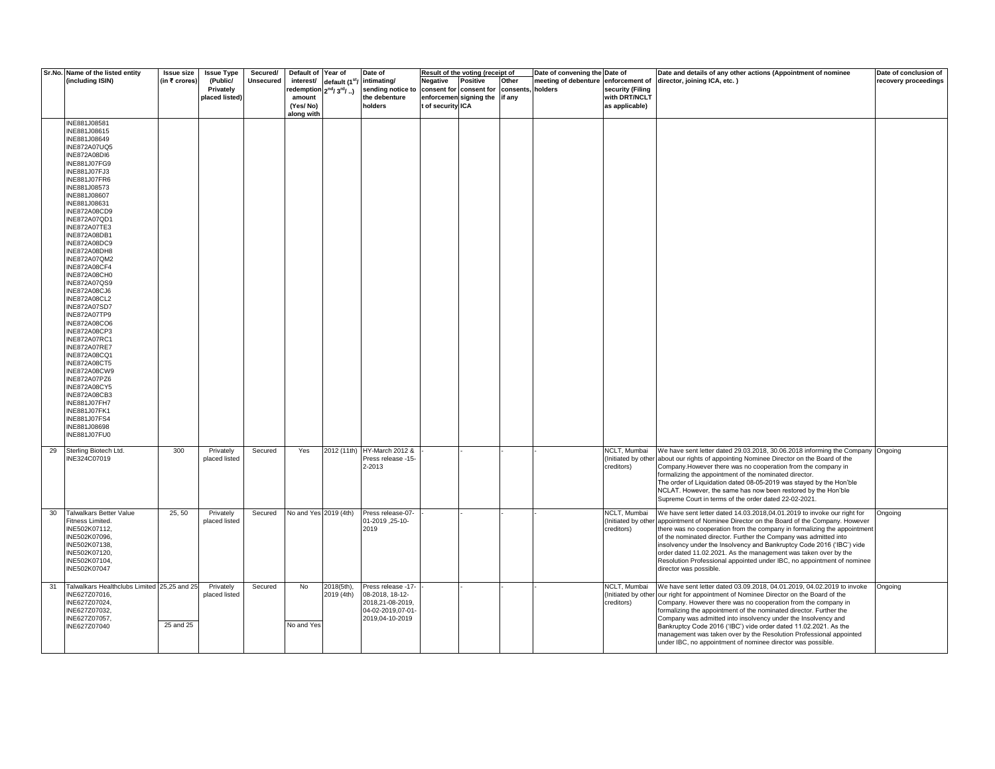|    | Sr.No. Name of the listed entity<br>(including ISIN)                                                                                                                                                                                                                                                                                                                                                                                                                                                                                                                                                                                                                                                                                             | <b>Issue size</b><br>(in ₹ crores) | <b>Issue Type</b><br>(Public/<br>Privately<br>placed listed) | Secured/<br><b>Unsecured</b> | Default of Year of<br>interest/<br>redemption 2 <sup>nd</sup> / 3 <sup>rd</sup> / )<br>amount<br>(Yes/No)<br>along with | default (1 <sup>st</sup> | Date of<br>intimating/<br>sending notice to<br>the debenture<br>holders                           | Negative<br>consent for<br>t of security ICA | Result of the voting (receipt of<br>Positive<br>consent for consents,<br>enforcemen signing the if any | Other | Date of convening the Date of<br>meeting of debenture<br>holders | enforcement of<br>security (Filing<br>with DRT/NCLT<br>as applicable) | Date and details of any other actions (Appointment of nominee<br>director, joining ICA, etc.)                                                                                                                                                                                                                                                                                                                                                                                                                                                                | Date of conclusion of<br>recovery proceedings |
|----|--------------------------------------------------------------------------------------------------------------------------------------------------------------------------------------------------------------------------------------------------------------------------------------------------------------------------------------------------------------------------------------------------------------------------------------------------------------------------------------------------------------------------------------------------------------------------------------------------------------------------------------------------------------------------------------------------------------------------------------------------|------------------------------------|--------------------------------------------------------------|------------------------------|-------------------------------------------------------------------------------------------------------------------------|--------------------------|---------------------------------------------------------------------------------------------------|----------------------------------------------|--------------------------------------------------------------------------------------------------------|-------|------------------------------------------------------------------|-----------------------------------------------------------------------|--------------------------------------------------------------------------------------------------------------------------------------------------------------------------------------------------------------------------------------------------------------------------------------------------------------------------------------------------------------------------------------------------------------------------------------------------------------------------------------------------------------------------------------------------------------|-----------------------------------------------|
|    | INE881J08581<br>INE881J08615<br>INE881J08649<br><b>INE872A07UQ5</b><br><b>INE872A08DI6</b><br>INE881J07FG9<br>INE881J07FJ3<br>INE881J07FR6<br>INE881J08573<br>INE881J08607<br>INE881J08631<br><b>INE872A08CD9</b><br>INE872A07QD1<br><b>INE872A07TE3</b><br><b>INE872A08DB1</b><br>INE872A08DC9<br><b>INE872A08DH8</b><br><b>INE872A07QM2</b><br>INE872A08CF4<br>INE872A08CH0<br>INE872A07QS9<br>INE872A08CJ6<br>INE872A08CL2<br>INE872A07SD7<br><b>INE872A07TP9</b><br>INE872A08CO6<br>INE872A08CP3<br>INE872A07RC1<br><b>INE872A07RE7</b><br>INE872A08CQ1<br><b>INE872A08CT5</b><br>INE872A08CW9<br><b>INE872A07PZ6</b><br><b>INE872A08CY5</b><br>INE872A08CB3<br>INE881J07FH7<br>INE881J07FK1<br>INE881J07FS4<br>INE881J08698<br>INE881J07FU0 |                                    |                                                              |                              |                                                                                                                         |                          |                                                                                                   |                                              |                                                                                                        |       |                                                                  |                                                                       |                                                                                                                                                                                                                                                                                                                                                                                                                                                                                                                                                              |                                               |
| 29 | Sterling Biotech Ltd.<br>INE324C07019                                                                                                                                                                                                                                                                                                                                                                                                                                                                                                                                                                                                                                                                                                            | 300                                | Privately<br>placed listed                                   | Secured                      | Yes                                                                                                                     |                          | 2012 (11th) HY-March 2012 &<br>Press release -15-<br>2-2013                                       |                                              |                                                                                                        |       |                                                                  | NCLT, Mumbai<br>creditors)                                            | We have sent letter dated 29.03.2018, 30.06.2018 informing the Company Ongoing<br>(Initiated by other about our rights of appointing Nominee Director on the Board of the<br>Company. However there was no cooperation from the company in<br>formalizing the appointment of the nominated director.<br>The order of Liquidation dated 08-05-2019 was stayed by the Hon'ble<br>NCLAT. However, the same has now been restored by the Hon'ble<br>Supreme Court in terms of the order dated 22-02-2021.                                                        |                                               |
| 30 | Talwalkars Better Value<br>Fitness Limited.<br>INE502K07112,<br>INE502K07096,<br>INE502K07138,<br>INE502K07120,<br>INE502K07104,<br>INE502K07047                                                                                                                                                                                                                                                                                                                                                                                                                                                                                                                                                                                                 | 25, 50                             | Privately<br>placed listed                                   | Secured                      | No and Yes 2019 (4th)                                                                                                   |                          | Press release-07-<br>-01-2019, 01-20<br>2019                                                      |                                              |                                                                                                        |       |                                                                  | <b>NCLT, Mumbai</b><br>(Initiated by othe<br>creditors)               | We have sent letter dated 14.03.2018,04.01.2019 to invoke our right for<br>appointment of Nominee Director on the Board of the Company. However<br>there was no cooperation from the company in formalizing the appointment<br>of the nominated director. Further the Company was admitted into<br>insolvency under the Insolvency and Bankruptcy Code 2016 ('IBC') vide<br>order dated 11.02.2021. As the management was taken over by the<br>Resolution Professional appointed under IBC, no appointment of nominee<br>director was possible.              | Ongoing                                       |
| 31 | Talwalkars Healthclubs Limited 25,25 and 25<br>INE627Z07016,<br>INE627Z07024,<br>INE627Z07032,<br>INE627Z07057,<br>INE627Z07040                                                                                                                                                                                                                                                                                                                                                                                                                                                                                                                                                                                                                  | 25 and 25                          | Privately<br>placed listed                                   | Secured                      | No<br>No and Yes                                                                                                        | 2018(5th),<br>2019 (4th) | Press release -17-<br>08-2018, 18-12-<br>2018,21-08-2019,<br>04-02-2019,07-01-<br>2019,04-10-2019 |                                              |                                                                                                        |       |                                                                  | NCLT, Mumbai<br>(Initiated by other<br>creditors)                     | We have sent letter dated 03.09.2018, 04.01.2019, 04.02.2019 to invoke<br>our right for appointment of Nominee Director on the Board of the<br>Company. However there was no cooperation from the company in<br>formalizing the appointment of the nominated director. Further the<br>Company was admitted into insolvency under the Insolvency and<br>Bankruptcy Code 2016 ('IBC') vide order dated 11.02.2021. As the<br>management was taken over by the Resolution Professional appointed<br>under IBC, no appointment of nominee director was possible. | Ongoing                                       |